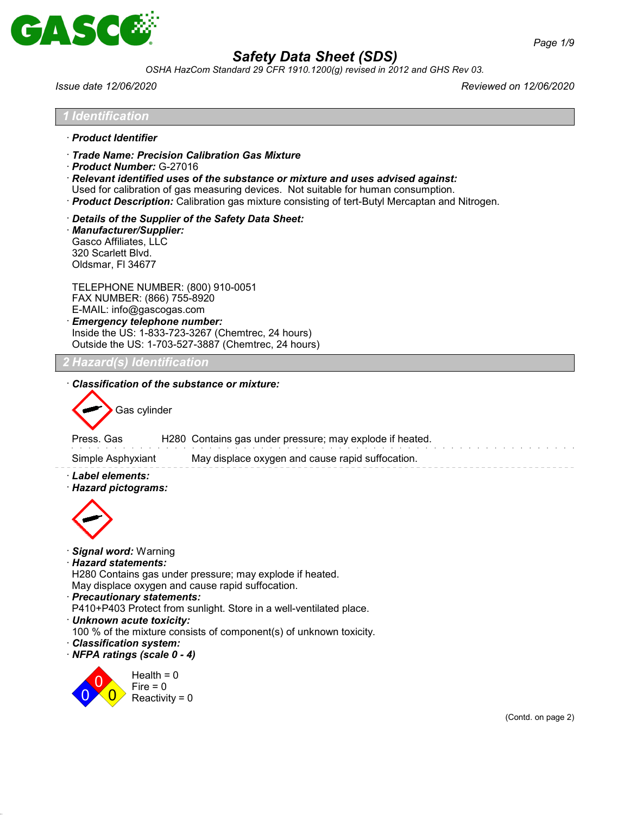

*OSHA HazCom Standard 29 CFR 1910.1200(g) revised in 2012 and GHS Rev 03.*

*Issue date 12/06/2020 Reviewed on 12/06/2020*

| · Product Identifier                                                         | Trade Name: Precision Calibration Gas Mixture<br>Product Number: G-27016<br>$\cdot$ Relevant identified uses of the substance or mixture and uses advised against:<br>Used for calibration of gas measuring devices. Not suitable for human consumption.<br>· Product Description: Calibration gas mixture consisting of tert-Butyl Mercaptan and Nitrogen. |                    |
|------------------------------------------------------------------------------|-------------------------------------------------------------------------------------------------------------------------------------------------------------------------------------------------------------------------------------------------------------------------------------------------------------------------------------------------------------|--------------------|
| Gasco Affiliates, LLC<br>320 Scarlett Blvd.<br>Oldsmar, FI 34677             | Details of the Supplier of the Safety Data Sheet:<br>· Manufacturer/Supplier:                                                                                                                                                                                                                                                                               |                    |
|                                                                              | TELEPHONE NUMBER: (800) 910-0051<br>FAX NUMBER: (866) 755-8920<br>E-MAIL: info@gascogas.com<br>· Emergency telephone number:<br>Inside the US: 1-833-723-3267 (Chemtrec, 24 hours)<br>Outside the US: 1-703-527-3887 (Chemtrec, 24 hours)                                                                                                                   |                    |
|                                                                              |                                                                                                                                                                                                                                                                                                                                                             |                    |
| Press. Gas<br>Simple Asphyxiant<br>· Label elements:<br>· Hazard pictograms: | H280 Contains gas under pressure; may explode if heated.<br>May displace oxygen and cause rapid suffocation.                                                                                                                                                                                                                                                |                    |
| · Signal word: Warning<br>· Hazard statements:<br>· Classification system:   | H280 Contains gas under pressure; may explode if heated.<br>May displace oxygen and cause rapid suffocation.<br>· Precautionary statements:<br>P410+P403 Protect from sunlight. Store in a well-ventilated place.<br>· Unknown acute toxicity:<br>100 % of the mixture consists of component(s) of unknown toxicity.<br>· NFPA ratings (scale 0 - 4)        |                    |
|                                                                              | Health = $0$<br>Fire $= 0$<br>Reactivity = $0$                                                                                                                                                                                                                                                                                                              |                    |
|                                                                              |                                                                                                                                                                                                                                                                                                                                                             | (Contd. on page 2) |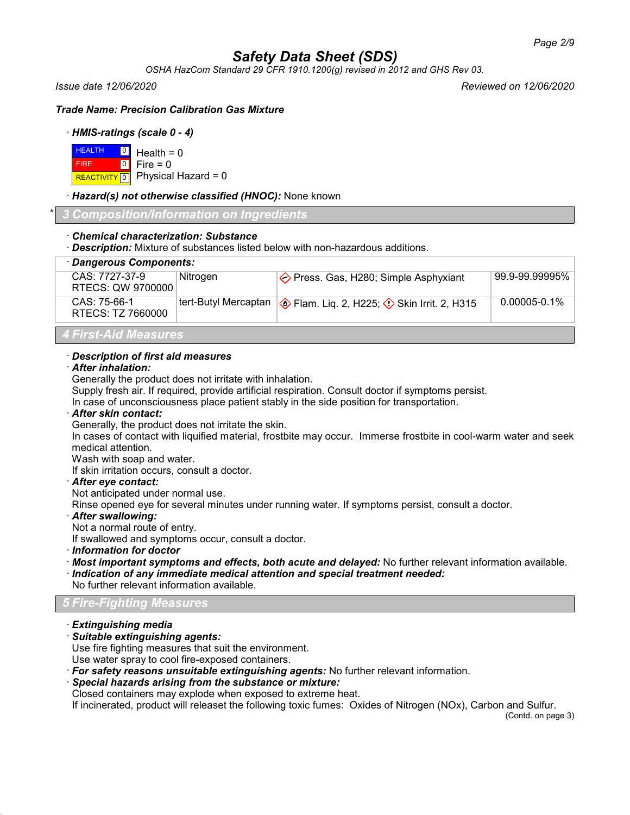*OSHA HazCom Standard 29 CFR 1910.1200(g) revised in 2012 and GHS Rev 03.*

*Issue date 12/06/2020 Reviewed on 12/06/2020*

*Trade Name: Precision Calibration Gas Mixture*

### · *HMIS-ratings (scale 0 - 4)*

| $H = 0$ Health = 0 |                                      |
|--------------------|--------------------------------------|
| <b>FIRE</b>        | $\textcolor{blue}{\bullet}$ Fire = 0 |
|                    | REACTIVITY 0 Physical Hazard = 0     |

### · *Hazard(s) not otherwise classified (HNOC):* None known

\* *3 Composition/Information on Ingredients*

## · *Chemical characterization: Substance*

· *Description:* Mixture of substances listed below with non-hazardous additions.

| · Dangerous Components:             |                      |                                                |                   |  |
|-------------------------------------|----------------------|------------------------------------------------|-------------------|--|
| CAS: 7727-37-9<br>RTECS: QW 9700000 | Nitrogen             | $\Diamond$ Press. Gas, H280; Simple Asphyxiant | 99.9-99.99995%    |  |
| CAS: 75-66-1<br>RTECS: TZ 7660000   | tert-Butyl Mercaptan | Skin Irrit. 2, H225; ۞ Skin Irrit. 2, H315     | $0.00005 - 0.1\%$ |  |
| 4 First-Aid Measures                |                      |                                                |                   |  |

## · *Description of first aid measures*

## · *After inhalation:*

Generally the product does not irritate with inhalation.

Supply fresh air. If required, provide artificial respiration. Consult doctor if symptoms persist.

In case of unconsciousness place patient stably in the side position for transportation.

#### · *After skin contact:*

Generally, the product does not irritate the skin.

In cases of contact with liquified material, frostbite may occur. Immerse frostbite in cool-warm water and seek medical attention.

Wash with soap and water.

If skin irritation occurs, consult a doctor.

### · *After eye contact:*

Not anticipated under normal use.

Rinse opened eye for several minutes under running water. If symptoms persist, consult a doctor.

### · *After swallowing:*

Not a normal route of entry.

If swallowed and symptoms occur, consult a doctor.

· *Information for doctor*

- · *Most important symptoms and effects, both acute and delayed:* No further relevant information available.
- · *Indication of any immediate medical attention and special treatment needed:*

### *5 Fire-Fighting Measures*

### · *Extinguishing media*

· *Suitable extinguishing agents:*

Use fire fighting measures that suit the environment.

Use water spray to cool fire-exposed containers.

- · *For safety reasons unsuitable extinguishing agents:* No further relevant information.
- · *Special hazards arising from the substance or mixture:*

Closed containers may explode when exposed to extreme heat.

If incinerated, product will releaset the following toxic fumes: Oxides of Nitrogen (NOx), Carbon and Sulfur.

(Contd. on page 3)

No further relevant information available.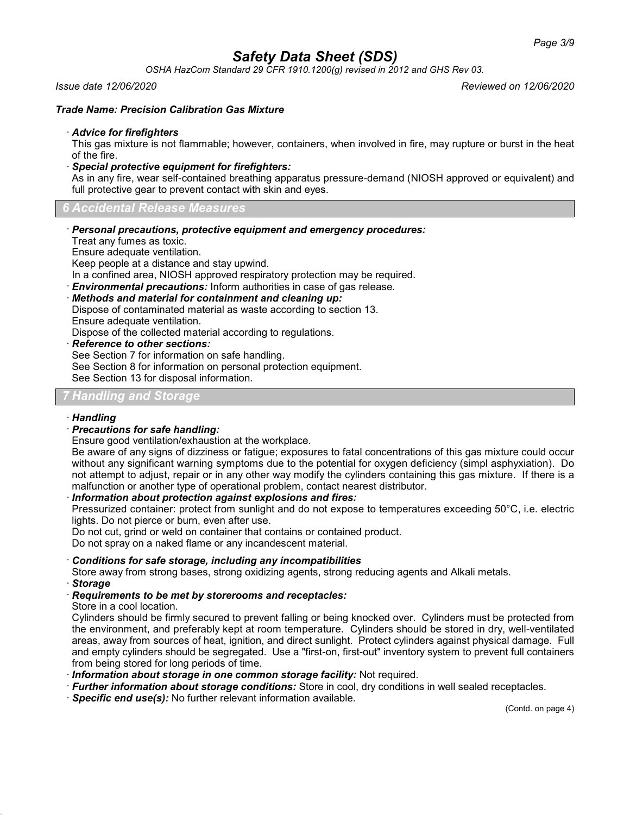*OSHA HazCom Standard 29 CFR 1910.1200(g) revised in 2012 and GHS Rev 03.*

#### *Issue date 12/06/2020 Reviewed on 12/06/2020*

#### *Trade Name: Precision Calibration Gas Mixture*

#### · *Advice for firefighters*

This gas mixture is not flammable; however, containers, when involved in fire, may rupture or burst in the heat of the fire.

· *Special protective equipment for firefighters:*

As in any fire, wear self-contained breathing apparatus pressure-demand (NIOSH approved or equivalent) and full protective gear to prevent contact with skin and eyes.

*6 Accidental Release Measures*

· *Personal precautions, protective equipment and emergency procedures:*

Treat any fumes as toxic.

Ensure adequate ventilation.

Keep people at a distance and stay upwind.

In a confined area, NIOSH approved respiratory protection may be required.

· *Environmental precautions:* Inform authorities in case of gas release.

· *Methods and material for containment and cleaning up:*

Dispose of contaminated material as waste according to section 13.

Ensure adequate ventilation.

Dispose of the collected material according to regulations.

· *Reference to other sections:*

See Section 7 for information on safe handling.

See Section 8 for information on personal protection equipment.

See Section 13 for disposal information.

## *7 Handling and Storage*

### · *Handling*

### · *Precautions for safe handling:*

Ensure good ventilation/exhaustion at the workplace.

Be aware of any signs of dizziness or fatigue; exposures to fatal concentrations of this gas mixture could occur without any significant warning symptoms due to the potential for oxygen deficiency (simpl asphyxiation). Do not attempt to adjust, repair or in any other way modify the cylinders containing this gas mixture. If there is a malfunction or another type of operational problem, contact nearest distributor.

· *Information about protection against explosions and fires:*

Pressurized container: protect from sunlight and do not expose to temperatures exceeding 50°C, i.e. electric lights. Do not pierce or burn, even after use.

Do not cut, grind or weld on container that contains or contained product.

Do not spray on a naked flame or any incandescent material.

### · *Conditions for safe storage, including any incompatibilities*

Store away from strong bases, strong oxidizing agents, strong reducing agents and Alkali metals.

· *Storage*

### · *Requirements to be met by storerooms and receptacles:*

Store in a cool location.

Cylinders should be firmly secured to prevent falling or being knocked over. Cylinders must be protected from the environment, and preferably kept at room temperature. Cylinders should be stored in dry, well-ventilated areas, away from sources of heat, ignition, and direct sunlight. Protect cylinders against physical damage. Full and empty cylinders should be segregated. Use a "first-on, first-out" inventory system to prevent full containers from being stored for long periods of time.

- · *Information about storage in one common storage facility:* Not required.
- · *Further information about storage conditions:* Store in cool, dry conditions in well sealed receptacles.
- · *Specific end use(s):* No further relevant information available.

(Contd. on page 4)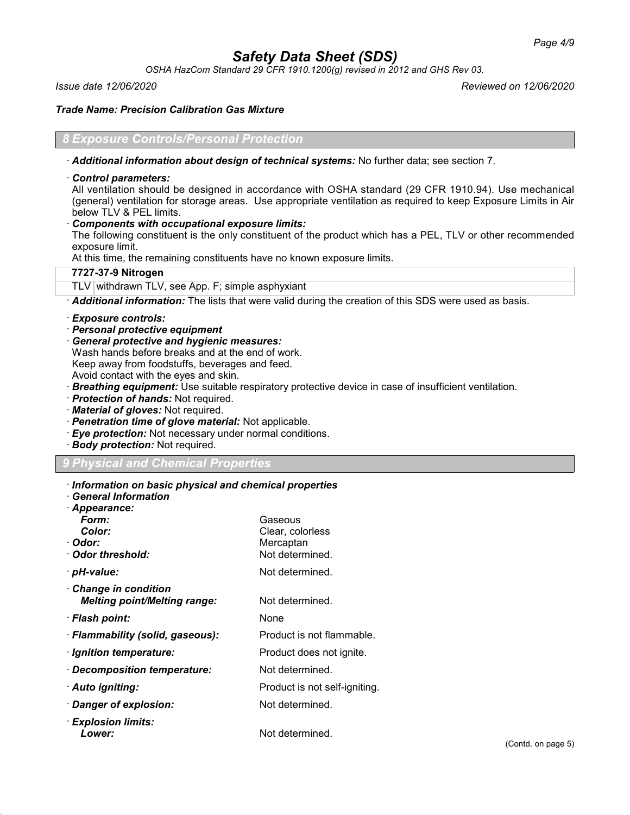*OSHA HazCom Standard 29 CFR 1910.1200(g) revised in 2012 and GHS Rev 03.*

*Issue date 12/06/2020 Reviewed on 12/06/2020*

*Trade Name: Precision Calibration Gas Mixture*

### *Exposure Controls/Personal Protection*

· *Additional information about design of technical systems:* No further data; see section 7.

· *Control parameters:*

All ventilation should be designed in accordance with OSHA standard (29 CFR 1910.94). Use mechanical (general) ventilation for storage areas. Use appropriate ventilation as required to keep Exposure Limits in Air below TLV & PEL limits.

· *Components with occupational exposure limits:*

The following constituent is the only constituent of the product which has a PEL, TLV or other recommended exposure limit.

At this time, the remaining constituents have no known exposure limits.

## **7727-37-9 Nitrogen**

TLV withdrawn TLV, see App. F; simple asphyxiant

· *Additional information:* The lists that were valid during the creation of this SDS were used as basis.

#### · *Exposure controls:*

- · *Personal protective equipment*
- · *General protective and hygienic measures:* Wash hands before breaks and at the end of work. Keep away from foodstuffs, beverages and feed. Avoid contact with the eyes and skin.
- · *Breathing equipment:* Use suitable respiratory protective device in case of insufficient ventilation.
- · *Protection of hands:* Not required.
- · *Material of gloves:* Not required.
- · *Penetration time of glove material:* Not applicable.
- · *Eye protection:* Not necessary under normal conditions.
- · *Body protection:* Not required.

## *9 Physical and Chemical Properties*

| Information on basic physical and chemical properties |  |  |  |
|-------------------------------------------------------|--|--|--|
|-------------------------------------------------------|--|--|--|

· *General Information* · *Appearance:*

| Appearance.<br>Form:<br><b>Color:</b><br>· Odor:<br>· Odor threshold: | Gaseous<br>Clear, colorless<br>Mercaptan<br>Not determined. |
|-----------------------------------------------------------------------|-------------------------------------------------------------|
| · pH-value:                                                           | Not determined.                                             |
| $\cdot$ Change in condition<br><b>Melting point/Melting range:</b>    | Not determined.                                             |
| · Flash point:                                                        | None                                                        |
| · Flammability (solid, gaseous):                                      | Product is not flammable.                                   |
| · Ignition temperature:                                               | Product does not ignite.                                    |
| · Decomposition temperature:                                          | Not determined.                                             |
| · Auto igniting:                                                      | Product is not self-igniting.                               |
| Danger of explosion:                                                  | Not determined.                                             |
| $\cdot$ Explosion limits:<br>Lower:                                   | Not determined.                                             |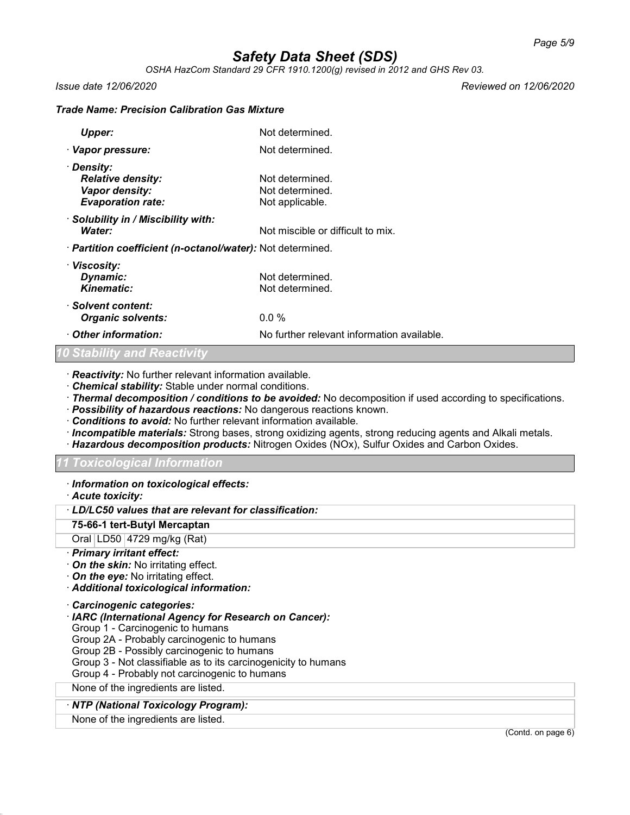*OSHA HazCom Standard 29 CFR 1910.1200(g) revised in 2012 and GHS Rev 03.*

*Issue date 12/06/2020 Reviewed on 12/06/2020*

#### *Trade Name: Precision Calibration Gas Mixture*

| Upper:                                                                               | Not determined.                                       |
|--------------------------------------------------------------------------------------|-------------------------------------------------------|
| · Vapor pressure:                                                                    | Not determined.                                       |
| · Density:<br><b>Relative density:</b><br>Vapor density:<br><b>Evaporation rate:</b> | Not determined.<br>Not determined.<br>Not applicable. |
| · Solubility in / Miscibility with:<br>Water:                                        | Not miscible or difficult to mix.                     |
| · <b>Partition coefficient (n-octanol/water):</b> Not determined.                    |                                                       |
| · Viscosity:<br>Dynamic:<br>Kinematic:                                               | Not determined.<br>Not determined.                    |
| · Solvent content:<br><b>Organic solvents:</b>                                       | 0.0 %                                                 |
| Other information:                                                                   | No further relevant information available.            |

## *10 Stability and Reactivity*

· *Reactivity:* No further relevant information available.

- · *Chemical stability:* Stable under normal conditions.
- · *Thermal decomposition / conditions to be avoided:* No decomposition if used according to specifications.
- · *Possibility of hazardous reactions:* No dangerous reactions known.
- · *Conditions to avoid:* No further relevant information available.
- · *Incompatible materials:* Strong bases, strong oxidizing agents, strong reducing agents and Alkali metals.
- · *Hazardous decomposition products:* Nitrogen Oxides (NOx), Sulfur Oxides and Carbon Oxides.

#### *11 Toxicological Information*

· *Information on toxicological effects:*

#### · *Acute toxicity:*

#### · *LD/LC50 values that are relevant for classification:*

**75-66-1 tert-Butyl Mercaptan**

Oral LD50 4729 mg/kg (Rat)

#### · *Primary irritant effect:*

- · *On the skin:* No irritating effect.
- · *On the eye:* No irritating effect.
- · *Additional toxicological information:*
- · *Carcinogenic categories:*
- · *IARC (International Agency for Research on Cancer):*
- Group 1 Carcinogenic to humans
- Group 2A Probably carcinogenic to humans
- Group 2B Possibly carcinogenic to humans
- Group 3 Not classifiable as to its carcinogenicity to humans
- Group 4 Probably not carcinogenic to humans
- None of the ingredients are listed.

## · *NTP (National Toxicology Program):*

None of the ingredients are listed.

(Contd. on page 6)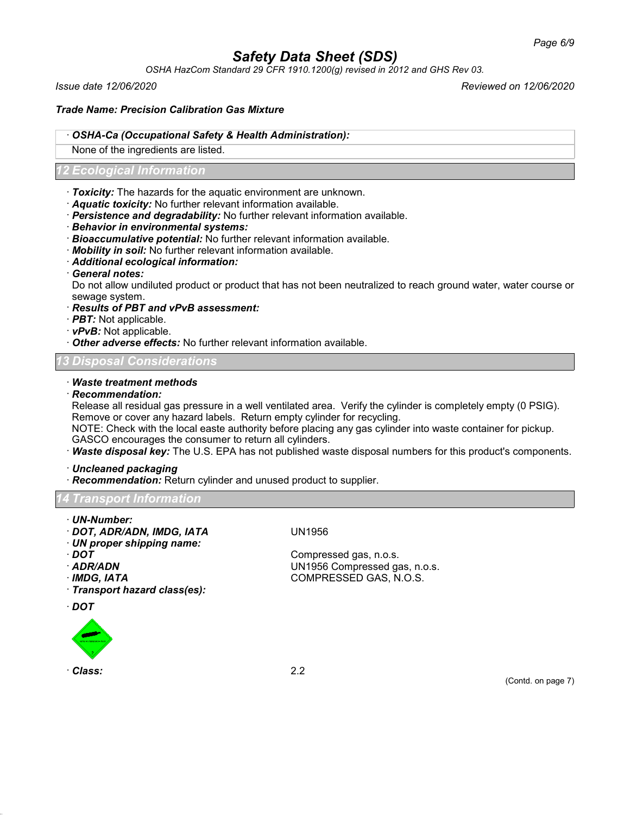*OSHA HazCom Standard 29 CFR 1910.1200(g) revised in 2012 and GHS Rev 03.*

*Issue date 12/06/2020 Reviewed on 12/06/2020*

### *Trade Name: Precision Calibration Gas Mixture*

### · *OSHA-Ca (Occupational Safety & Health Administration):*

None of the ingredients are listed.

### *12 Ecological Information*

- · *Toxicity:* The hazards for the aquatic environment are unknown.
- · *Aquatic toxicity:* No further relevant information available.
- · *Persistence and degradability:* No further relevant information available.
- · *Behavior in environmental systems:*
- · *Bioaccumulative potential:* No further relevant information available.
- · *Mobility in soil:* No further relevant information available.
- · *Additional ecological information:*
- · *General notes:*

Do not allow undiluted product or product that has not been neutralized to reach ground water, water course or sewage system.

- · *Results of PBT and vPvB assessment:*
- · *PBT:* Not applicable.
- · *vPvB:* Not applicable.
- · *Other adverse effects:* No further relevant information available.

## *13 Disposal Considerations*

#### · *Waste treatment methods*

#### · *Recommendation:*

Release all residual gas pressure in a well ventilated area. Verify the cylinder is completely empty (0 PSIG). Remove or cover any hazard labels. Return empty cylinder for recycling.

NOTE: Check with the local easte authority before placing any gas cylinder into waste container for pickup. GASCO encourages the consumer to return all cylinders.

· *Waste disposal key:* The U.S. EPA has not published waste disposal numbers for this product's components.

· *Uncleaned packaging*

· *Recommendation:* Return cylinder and unused product to supplier.

*14 Transport Information*

- · *UN-Number:*
- · *DOT, ADR/ADN, IMDG, IATA* UN1956
- · *UN proper shipping name:*
- 
- 
- 
- · *Transport hazard class(es):*
- · *DOT*



· *Class:* 2.2

· **DOT** Compressed gas, n.o.s. · *ADR/ADN* UN1956 Compressed gas, n.o.s. · *IMDG, IATA* COMPRESSED GAS, N.O.S.

(Contd. on page 7)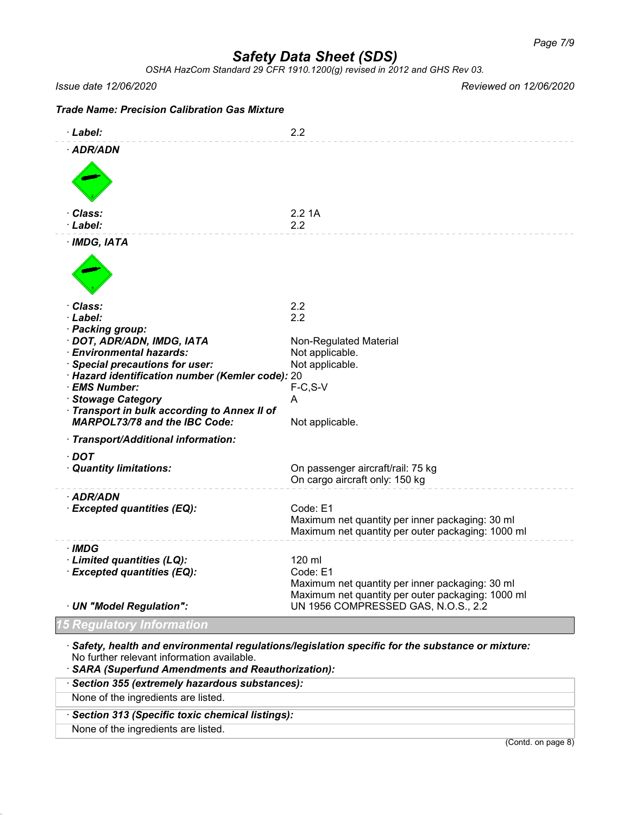*OSHA HazCom Standard 29 CFR 1910.1200(g) revised in 2012 and GHS Rev 03.*

#### *Issue date 12/06/2020 Reviewed on 12/06/2020*

| <b>Trade Name: Precision Calibration Gas Mixture</b>                                                                                                                                                                                                                                                                   |                                                                                                                                                                   |
|------------------------------------------------------------------------------------------------------------------------------------------------------------------------------------------------------------------------------------------------------------------------------------------------------------------------|-------------------------------------------------------------------------------------------------------------------------------------------------------------------|
| · Label:                                                                                                                                                                                                                                                                                                               | 2.2                                                                                                                                                               |
| · ADR/ADN                                                                                                                                                                                                                                                                                                              |                                                                                                                                                                   |
| · Class:<br>· Label:                                                                                                                                                                                                                                                                                                   | 2.21A<br>2.2                                                                                                                                                      |
| $·$ IMDG, IATA                                                                                                                                                                                                                                                                                                         |                                                                                                                                                                   |
| · Class:<br>· Label:<br>· Packing group:<br>· DOT, ADR/ADN, IMDG, IATA<br>· Environmental hazards:<br>· Special precautions for user:<br>· Hazard identification number (Kemler code): 20<br>· EMS Number:<br>· Stowage Category<br>Transport in bulk according to Annex II of<br><b>MARPOL73/78 and the IBC Code:</b> | 2.2<br>2.2<br>Non-Regulated Material<br>Not applicable.<br>Not applicable.<br>$F-C, S-V$<br>A<br>Not applicable.                                                  |
| · Transport/Additional information:                                                                                                                                                                                                                                                                                    |                                                                                                                                                                   |
| $\cdot$ DOT<br>· Quantity limitations:                                                                                                                                                                                                                                                                                 | On passenger aircraft/rail: 75 kg<br>On cargo aircraft only: 150 kg                                                                                               |
| · ADR/ADN<br>· Excepted quantities (EQ):                                                                                                                                                                                                                                                                               | Code: E1<br>Maximum net quantity per inner packaging: 30 ml<br>Maximum net quantity per outer packaging: 1000 ml                                                  |
| · IMDG<br>· Limited quantities (LQ):<br>· Excepted quantities (EQ):<br>· UN "Model Regulation":                                                                                                                                                                                                                        | 120 ml<br>Code: E1<br>Maximum net quantity per inner packaging: 30 ml<br>Maximum net quantity per outer packaging: 1000 ml<br>UN 1956 COMPRESSED GAS, N.O.S., 2.2 |
| <b>Regulatory Information</b>                                                                                                                                                                                                                                                                                          |                                                                                                                                                                   |

· *Safety, health and environmental regulations/legislation specific for the substance or mixture:* No further relevant information available.

· *SARA (Superfund Amendments and Reauthorization):*

## · *Section 355 (extremely hazardous substances):*

None of the ingredients are listed.

· *Section 313 (Specific toxic chemical listings):*

None of the ingredients are listed.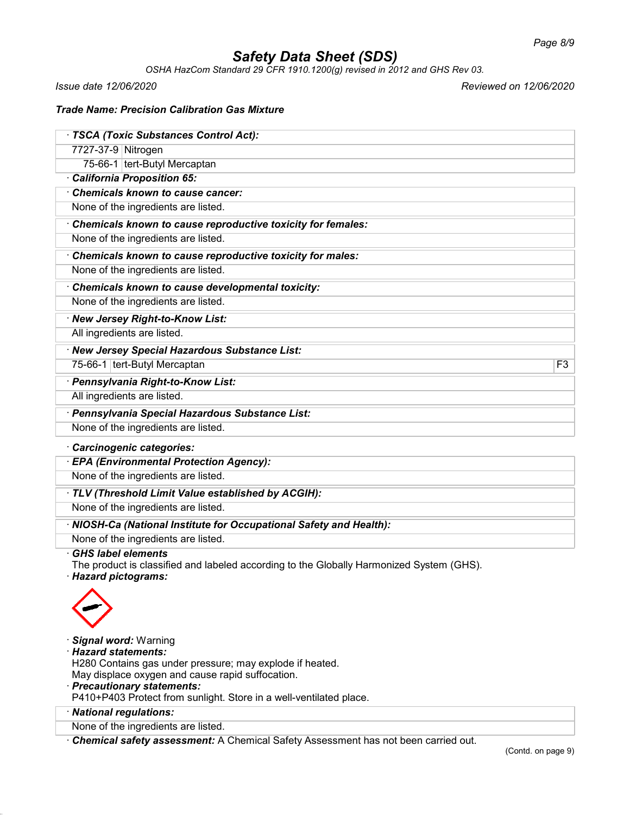*OSHA HazCom Standard 29 CFR 1910.1200(g) revised in 2012 and GHS Rev 03.*

*Issue date 12/06/2020 Reviewed on 12/06/2020*

### *Trade Name: Precision Calibration Gas Mixture*

| · TSCA (Toxic Substances Control Act):                                                   |                |
|------------------------------------------------------------------------------------------|----------------|
| 7727-37-9 Nitrogen                                                                       |                |
| 75-66-1 tert-Butyl Mercaptan                                                             |                |
| California Proposition 65:                                                               |                |
| Chemicals known to cause cancer:                                                         |                |
| None of the ingredients are listed.                                                      |                |
| Chemicals known to cause reproductive toxicity for females:                              |                |
| None of the ingredients are listed.                                                      |                |
| Chemicals known to cause reproductive toxicity for males:                                |                |
| None of the ingredients are listed.                                                      |                |
| Chemicals known to cause developmental toxicity:                                         |                |
| None of the ingredients are listed.                                                      |                |
| · New Jersey Right-to-Know List:                                                         |                |
| All ingredients are listed.                                                              |                |
| · New Jersey Special Hazardous Substance List:                                           |                |
| 75-66-1 tert-Butyl Mercaptan                                                             | F <sub>3</sub> |
| · Pennsylvania Right-to-Know List:                                                       |                |
| All ingredients are listed.                                                              |                |
| · Pennsylvania Special Hazardous Substance List:                                         |                |
| None of the ingredients are listed.                                                      |                |
| Carcinogenic categories:                                                                 |                |
| · EPA (Environmental Protection Agency):                                                 |                |
| None of the ingredients are listed.                                                      |                |
| · TLV (Threshold Limit Value established by ACGIH):                                      |                |
| None of the ingredients are listed.                                                      |                |
| · NIOSH-Ca (National Institute for Occupational Safety and Health):                      |                |
| None of the ingredients are listed.                                                      |                |
| <b>GHS label elements</b>                                                                |                |
| The product is classified and labeled according to the Globally Harmonized System (GHS). |                |
| · Hazard pictograms:                                                                     |                |
|                                                                                          |                |
|                                                                                          |                |
|                                                                                          |                |
| · Signal word: Warning<br>· Hazard statements:                                           |                |
| H280 Contains gas under pressure; may explode if heated.                                 |                |
| May displace oxygen and cause rapid suffocation.                                         |                |
| · Precautionary statements:                                                              |                |
| P410+P403 Protect from sunlight. Store in a well-ventilated place.                       |                |
| · National regulations:                                                                  |                |
| None of the ingredients are listed.                                                      |                |

· *Chemical safety assessment:* A Chemical Safety Assessment has not been carried out.